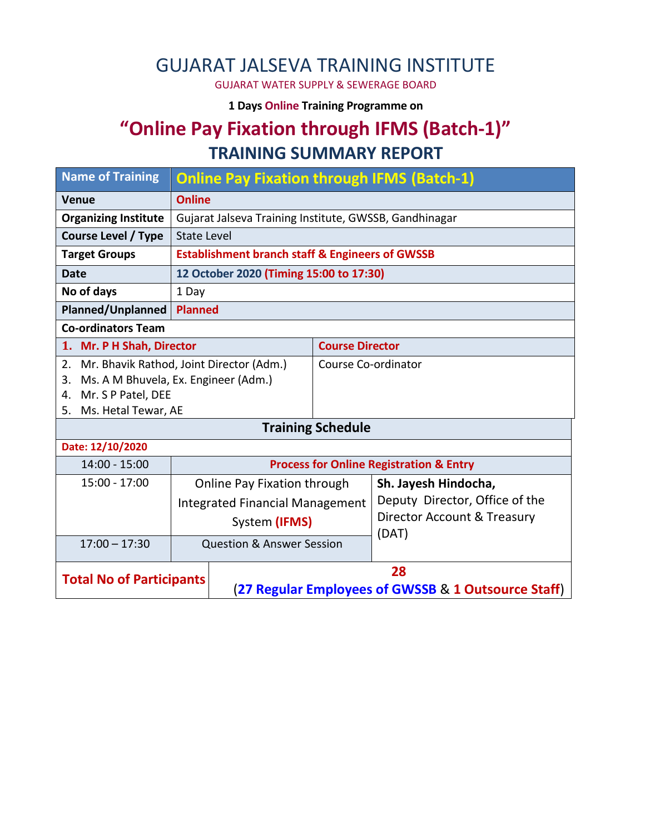## GUJARAT JALSEVA TRAINING INSTITUTE

GUJARAT WATER SUPPLY & SEWERAGE BOARD

**1 Days Online Training Programme on** 

### **"Online Pay Fixation through IFMS (Batch-1)" TRAINING SUMMARY REPORT**

| <b>Name of Training</b>                        |                                        | <b>Online Pay Fixation through IFMS (Batch-1)</b>          |                          |                                |  |  |  |
|------------------------------------------------|----------------------------------------|------------------------------------------------------------|--------------------------|--------------------------------|--|--|--|
| <b>Venue</b>                                   | <b>Online</b>                          |                                                            |                          |                                |  |  |  |
| <b>Organizing Institute</b>                    |                                        | Gujarat Jalseva Training Institute, GWSSB, Gandhinagar     |                          |                                |  |  |  |
| <b>Course Level / Type</b>                     | <b>State Level</b>                     |                                                            |                          |                                |  |  |  |
| <b>Target Groups</b>                           |                                        | <b>Establishment branch staff &amp; Engineers of GWSSB</b> |                          |                                |  |  |  |
| <b>Date</b>                                    |                                        | 12 October 2020 (Timing 15:00 to 17:30)                    |                          |                                |  |  |  |
| No of days                                     |                                        |                                                            |                          |                                |  |  |  |
| Planned/Unplanned                              | <b>Planned</b>                         |                                                            |                          |                                |  |  |  |
| <b>Co-ordinators Team</b>                      |                                        |                                                            |                          |                                |  |  |  |
| 1. Mr. P H Shah, Director                      |                                        |                                                            |                          | <b>Course Director</b>         |  |  |  |
| Mr. Bhavik Rathod, Joint Director (Adm.)<br>2. |                                        |                                                            | Course Co-ordinator      |                                |  |  |  |
| Ms. A M Bhuvela, Ex. Engineer (Adm.)<br>3.     |                                        |                                                            |                          |                                |  |  |  |
| Mr. S P Patel, DEE<br>4.                       |                                        |                                                            |                          |                                |  |  |  |
| Ms. Hetal Tewar, AE<br>5.                      |                                        |                                                            |                          |                                |  |  |  |
|                                                |                                        |                                                            | <b>Training Schedule</b> |                                |  |  |  |
| Date: 12/10/2020                               |                                        |                                                            |                          |                                |  |  |  |
| $14:00 - 15:00$                                |                                        | <b>Process for Online Registration &amp; Entry</b>         |                          |                                |  |  |  |
| 15:00 - 17:00                                  |                                        | <b>Online Pay Fixation through</b>                         |                          | Sh. Jayesh Hindocha,           |  |  |  |
|                                                | <b>Integrated Financial Management</b> |                                                            |                          | Deputy Director, Office of the |  |  |  |
|                                                | System (IFMS)                          |                                                            |                          | Director Account & Treasury    |  |  |  |
| $17:00 - 17:30$                                |                                        |                                                            |                          | (DAT)                          |  |  |  |
|                                                |                                        | <b>Question &amp; Answer Session</b>                       |                          |                                |  |  |  |
| <b>Total No of Participants</b>                |                                        | 28                                                         |                          |                                |  |  |  |
|                                                |                                        | (27 Regular Employees of GWSSB & 1 Outsource Staff)        |                          |                                |  |  |  |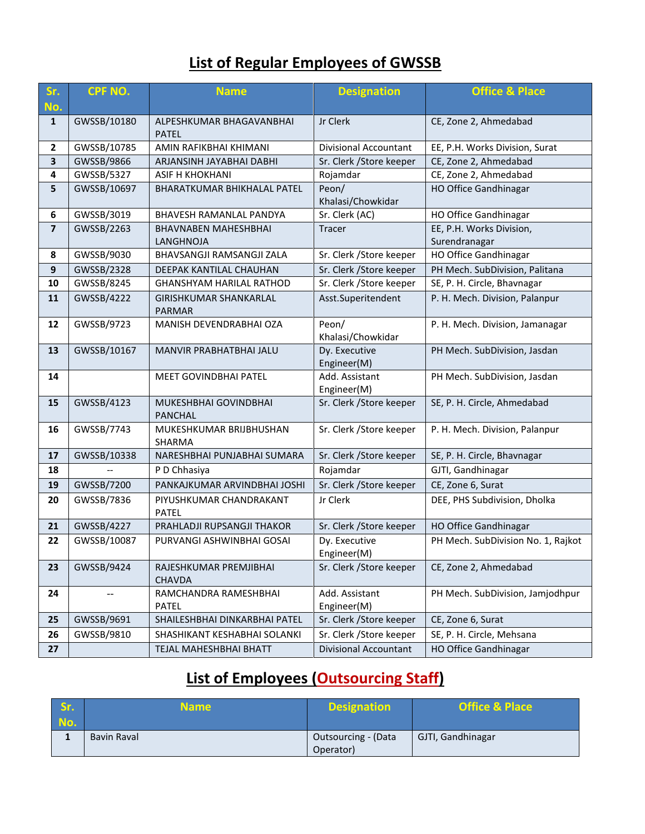#### **List of Regular Employees of GWSSB**

| Sr.<br>No.              | <b>CPF NO.</b> | <b>Name</b>                                    | <b>Designation</b>            | <b>Office &amp; Place</b>                                          |
|-------------------------|----------------|------------------------------------------------|-------------------------------|--------------------------------------------------------------------|
| $\mathbf{1}$            | GWSSB/10180    | ALPESHKUMAR BHAGAVANBHAI<br><b>PATEL</b>       | Jr Clerk                      | CE, Zone 2, Ahmedabad                                              |
| $\mathbf{2}$            | GWSSB/10785    | AMIN RAFIKBHAI KHIMANI                         | <b>Divisional Accountant</b>  | EE, P.H. Works Division, Surat                                     |
| 3                       | GWSSB/9866     | ARJANSINH JAYABHAI DABHI                       | Sr. Clerk / Store keeper      | CE, Zone 2, Ahmedabad                                              |
| $\overline{\mathbf{4}}$ | GWSSB/5327     | ASIF H KHOKHANI                                | Rojamdar                      | CE, Zone 2, Ahmedabad                                              |
| 5                       | GWSSB/10697    | BHARATKUMAR BHIKHALAL PATEL                    | Peon/<br>Khalasi/Chowkidar    | <b>HO Office Gandhinagar</b>                                       |
| 6                       | GWSSB/3019     | BHAVESH RAMANLAL PANDYA                        | Sr. Clerk (AC)                | HO Office Gandhinagar                                              |
| $\overline{\mathbf{z}}$ | GWSSB/2263     | <b>BHAVNABEN MAHESHBHAI</b><br>LANGHNOJA       | <b>Tracer</b>                 | EE, P.H. Works Division,<br>Surendranagar<br>HO Office Gandhinagar |
| 8                       | GWSSB/9030     | BHAVSANGJI RAMSANGJI ZALA                      | Sr. Clerk / Store keeper      |                                                                    |
| 9                       | GWSSB/2328     | DEEPAK KANTILAL CHAUHAN                        | Sr. Clerk / Store keeper      | PH Mech. SubDivision, Palitana                                     |
| 10                      | GWSSB/8245     | <b>GHANSHYAM HARILAL RATHOD</b>                | Sr. Clerk / Store keeper      | SE, P. H. Circle, Bhavnagar                                        |
| 11                      | GWSSB/4222     | <b>GIRISHKUMAR SHANKARLAL</b><br><b>PARMAR</b> | Asst.Superitendent            | P. H. Mech. Division, Palanpur                                     |
| 12                      | GWSSB/9723     | MANISH DEVENDRABHAI OZA                        | Peon/<br>Khalasi/Chowkidar    | P. H. Mech. Division, Jamanagar                                    |
| 13                      | GWSSB/10167    | MANVIR PRABHATBHAI JALU                        | Dy. Executive<br>Engineer(M)  | PH Mech. SubDivision, Jasdan                                       |
| 14                      |                | MEET GOVINDBHAI PATEL                          | Add. Assistant<br>Engineer(M) | PH Mech. SubDivision, Jasdan                                       |
| 15                      | GWSSB/4123     | MUKESHBHAI GOVINDBHAI<br><b>PANCHAL</b>        | Sr. Clerk / Store keeper      | SE, P. H. Circle, Ahmedabad                                        |
| 16                      | GWSSB/7743     | MUKESHKUMAR BRIJBHUSHAN<br>SHARMA              | Sr. Clerk / Store keeper      | P. H. Mech. Division, Palanpur                                     |
| 17                      | GWSSB/10338    | NARESHBHAI PUNJABHAI SUMARA                    | Sr. Clerk / Store keeper      | SE, P. H. Circle, Bhavnagar                                        |
| 18                      |                | P D Chhasiya                                   | Rojamdar                      | GJTI, Gandhinagar                                                  |
| 19                      | GWSSB/7200     | PANKAJKUMAR ARVINDBHAI JOSHI                   | Sr. Clerk / Store keeper      | CE, Zone 6, Surat                                                  |
| 20                      | GWSSB/7836     | PIYUSHKUMAR CHANDRAKANT<br><b>PATEL</b>        | Jr Clerk                      | DEE, PHS Subdivision, Dholka                                       |
| 21                      | GWSSB/4227     | PRAHLADJI RUPSANGJI THAKOR                     | Sr. Clerk / Store keeper      | HO Office Gandhinagar                                              |
| 22                      | GWSSB/10087    | PURVANGI ASHWINBHAI GOSAI                      | Dy. Executive<br>Engineer(M)  | PH Mech. SubDivision No. 1, Rajkot                                 |
| 23                      | GWSSB/9424     | RAJESHKUMAR PREMJIBHAI<br><b>CHAVDA</b>        | Sr. Clerk / Store keeper      | CE, Zone 2, Ahmedabad                                              |
| 24                      |                | RAMCHANDRA RAMESHBHAI<br>PATEL                 | Add. Assistant<br>Engineer(M) | PH Mech. SubDivision, Jamjodhpur                                   |
| 25                      | GWSSB/9691     | SHAILESHBHAI DINKARBHAI PATEL                  | Sr. Clerk / Store keeper      | CE, Zone 6, Surat                                                  |
| 26                      | GWSSB/9810     | SHASHIKANT KESHABHAI SOLANKI                   | Sr. Clerk / Store keeper      | SE, P. H. Circle, Mehsana                                          |
| 27                      |                | TEJAL MAHESHBHAI BHATT                         | Divisional Accountant         | HO Office Gandhinagar                                              |

# **List of Employees (Outsourcing Staff)**

| Sr.<br>No. | Name i             | <b>Designation</b>               | <b>Office &amp; Place</b> |
|------------|--------------------|----------------------------------|---------------------------|
|            | <b>Bavin Raval</b> | Outsourcing - (Data<br>Operator) | GJTI, Gandhinagar         |